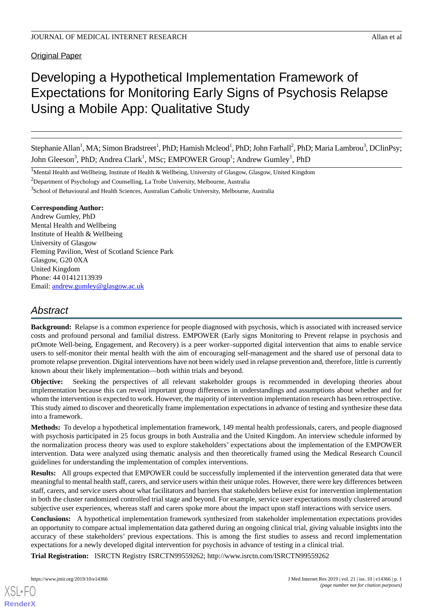**Original Paper** 

# Developing a Hypothetical Implementation Framework of Expectations for Monitoring Early Signs of Psychosis Relapse Using a Mobile App: Qualitative Study

Stephanie Allan<sup>1</sup>, MA; Simon Bradstreet<sup>1</sup>, PhD; Hamish Mcleod<sup>1</sup>, PhD; John Farhall<sup>2</sup>, PhD; Maria Lambrou<sup>3</sup>, DClinPsy; John Gleeson<sup>3</sup>, PhD; Andrea Clark<sup>1</sup>, MSc; EMPOWER Group<sup>1</sup>; Andrew Gumley<sup>1</sup>, PhD

<sup>1</sup>Mental Health and Wellbeing, Institute of Health & Wellbeing, University of Glasgow, Glasgow, United Kingdom

<sup>2</sup>Department of Psychology and Counselling, La Trobe University, Melbourne, Australia

<sup>3</sup>School of Behavioural and Health Sciences, Australian Catholic University, Melbourne, Australia

#### **Corresponding Author:**

Andrew Gumley, PhD Mental Health and Wellbeing Institute of Health & Wellbeing University of Glasgow Fleming Pavilion, West of Scotland Science Park Glasgow, G20 0XA United Kingdom Phone: 44 01412113939 Email: [andrew.gumley@glasgow.ac.uk](mailto:andrew.gumley@glasgow.ac.uk)

## *Abstract*

**Background:** Relapse is a common experience for people diagnosed with psychosis, which is associated with increased service costs and profound personal and familial distress. EMPOWER (Early signs Monitoring to Prevent relapse in psychosis and prOmote Well-being, Engagement, and Recovery) is a peer worker–supported digital intervention that aims to enable service users to self-monitor their mental health with the aim of encouraging self-management and the shared use of personal data to promote relapse prevention. Digital interventions have not been widely used in relapse prevention and, therefore, little is currently known about their likely implementation—both within trials and beyond.

**Objective:** Seeking the perspectives of all relevant stakeholder groups is recommended in developing theories about implementation because this can reveal important group differences in understandings and assumptions about whether and for whom the intervention is expected to work. However, the majority of intervention implementation research has been retrospective. This study aimed to discover and theoretically frame implementation expectations in advance of testing and synthesize these data into a framework.

**Methods:** To develop a hypothetical implementation framework, 149 mental health professionals, carers, and people diagnosed with psychosis participated in 25 focus groups in both Australia and the United Kingdom. An interview schedule informed by the normalization process theory was used to explore stakeholders' expectations about the implementation of the EMPOWER intervention. Data were analyzed using thematic analysis and then theoretically framed using the Medical Research Council guidelines for understanding the implementation of complex interventions.

**Results:** All groups expected that EMPOWER could be successfully implemented if the intervention generated data that were meaningful to mental health staff, carers, and service users within their unique roles. However, there were key differences between staff, carers, and service users about what facilitators and barriers that stakeholders believe exist for intervention implementation in both the cluster randomized controlled trial stage and beyond. For example, service user expectations mostly clustered around subjective user experiences, whereas staff and carers spoke more about the impact upon staff interactions with service users.

**Conclusions:** A hypothetical implementation framework synthesized from stakeholder implementation expectations provides an opportunity to compare actual implementation data gathered during an ongoing clinical trial, giving valuable insights into the accuracy of these stakeholders' previous expectations. This is among the first studies to assess and record implementation expectations for a newly developed digital intervention for psychosis in advance of testing in a clinical trial.

**Trial Registration:** ISRCTN Registry ISRCTN99559262; http://www.isrctn.com/ISRCTN99559262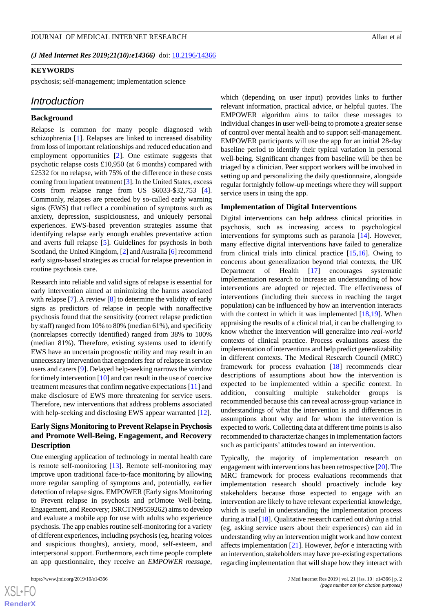*(J Med Internet Res 2019;21(10):e14366)* doi: **[10.2196/14366](http://dx.doi.org/10.2196/14366)** 

#### **KEYWORDS**

psychosis; self-management; implementation science

#### *Introduction*

#### **Background**

Relapse is common for many people diagnosed with schizophrenia [[1\]](#page-10-0). Relapses are linked to increased disability from loss of important relationships and reduced education and employment opportunities [[2\]](#page-10-1). One estimate suggests that psychotic relapse costs £10,950 (at 6 months) compared with £2532 for no relapse, with 75% of the difference in these costs coming from inpatient treatment [\[3](#page-10-2)]. In the United States, excess costs from relapse range from US \$6033-\$32,753 [[4\]](#page-10-3). Commonly, relapses are preceded by so-called early warning signs (EWS) that reflect a combination of symptoms such as anxiety, depression, suspiciousness, and uniquely personal experiences. EWS-based prevention strategies assume that identifying relapse early enough enables preventative action and averts full relapse [[5\]](#page-10-4). Guidelines for psychosis in both Scotland, the United Kingdom, [\[2](#page-10-1)] and Australia [\[6](#page-10-5)] recommend early signs-based strategies as crucial for relapse prevention in routine psychosis care.

Research into reliable and valid signs of relapse is essential for early intervention aimed at minimizing the harms associated with relapse [\[7\]](#page-10-6). A review [[8\]](#page-10-7) to determine the validity of early signs as predictors of relapse in people with nonaffective psychosis found that the sensitivity (correct relapse prediction by staff) ranged from 10% to 80% (median 61%), and specificity (nonrelapses correctly identified) ranged from 38% to 100% (median 81%). Therefore, existing systems used to identify EWS have an uncertain prognostic utility and may result in an unnecessary intervention that engenders fear of relapse in service users and carers [\[9\]](#page-10-8). Delayed help-seeking narrows the window for timely intervention [\[10](#page-10-9)] and can result in the use of coercive treatment measures that confirm negative expectations [[11\]](#page-10-10) and make disclosure of EWS more threatening for service users. Therefore, new interventions that address problems associated with help-seeking and disclosing EWS appear warranted [[12\]](#page-10-11).

## **Early Signs Monitoring to Prevent Relapse in Psychosis and Promote Well-Being, Engagement, and Recovery Description**

One emerging application of technology in mental health care is remote self-monitoring [[13\]](#page-10-12). Remote self-monitoring may improve upon traditional face-to-face monitoring by allowing more regular sampling of symptoms and, potentially, earlier detection of relapse signs. EMPOWER (Early signs Monitoring to Prevent relapse in psychosis and prOmote Well-being, Engagement, and Recovery; ISRCTN99559262) aims to develop and evaluate a mobile app for use with adults who experience psychosis. The app enables routine self-monitoring for a variety of different experiences, including psychosis (eg, hearing voices and suspicious thoughts), anxiety, mood, self-esteem, and interpersonal support. Furthermore, each time people complete an app questionnaire, they receive an *EMPOWER message*, which (depending on user input) provides links to further relevant information, practical advice, or helpful quotes. The EMPOWER algorithm aims to tailor these messages to individual changes in user well-being to promote a greater sense of control over mental health and to support self-management. EMPOWER participants will use the app for an initial 28-day baseline period to identify their typical variation in personal well-being. Significant changes from baseline will be then be triaged by a clinician. Peer support workers will be involved in setting up and personalizing the daily questionnaire, alongside regular fortnightly follow-up meetings where they will support service users in using the app.

#### **Implementation of Digital Interventions**

Digital interventions can help address clinical priorities in psychosis, such as increasing access to psychological interventions for symptoms such as paranoia [\[14](#page-10-13)]. However, many effective digital interventions have failed to generalize from clinical trials into clinical practice [\[15](#page-10-14),[16\]](#page-10-15). Owing to concerns about generalization beyond trial contexts, the UK Department of Health [\[17](#page-10-16)] encourages systematic implementation research to increase an understanding of how interventions are adopted or rejected. The effectiveness of interventions (including their success in reaching the target population) can be influenced by how an intervention interacts with the context in which it was implemented [[18,](#page-10-17)[19](#page-11-0)]. When appraising the results of a clinical trial, it can be challenging to know whether the intervention will generalize into *real-world* contexts of clinical practice. Process evaluations assess the implementation of interventions and help predict generalizability in different contexts. The Medical Research Council (MRC) framework for process evaluation [\[18](#page-10-17)] recommends clear descriptions of assumptions about how the intervention is expected to be implemented within a specific context. In addition, consulting multiple stakeholder groups is recommended because this can reveal across-group variance in understandings of what the intervention is and differences in assumptions about why and for whom the intervention is expected to work. Collecting data at different time points is also recommended to characterize changes in implementation factors such as participants' attitudes toward an intervention.

Typically, the majority of implementation research on engagement with interventions has been retrospective [[20\]](#page-11-1). The MRC framework for process evaluations recommends that implementation research should proactively include key stakeholders because those expected to engage with an intervention are likely to have relevant experiential knowledge, which is useful in understanding the implementation process during a trial [\[18](#page-10-17)]. Qualitative research carried out *during* a trial (eg, asking service users about their experiences) can aid in understanding why an intervention might work and how context affects implementation [[21\]](#page-11-2). However, *befor* e interacting with an intervention, stakeholders may have pre-existing expectations regarding implementation that will shape how they interact with

 $XS$  • FC **[RenderX](http://www.renderx.com/)**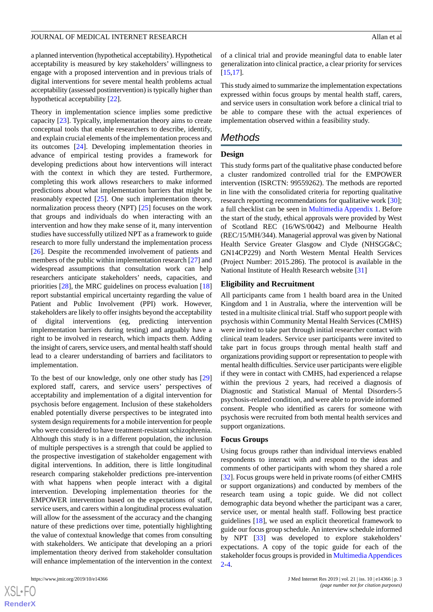a planned intervention (hypothetical acceptability). Hypothetical acceptability is measured by key stakeholders' willingness to engage with a proposed intervention and in previous trials of digital interventions for severe mental health problems actual acceptability (assessed postintervention) is typically higher than hypothetical acceptability [\[22](#page-11-3)].

Theory in implementation science implies some predictive capacity [[23\]](#page-11-4). Typically, implementation theory aims to create conceptual tools that enable researchers to describe, identify, and explain crucial elements of the implementation process and its outcomes [[24\]](#page-11-5). Developing implementation theories in advance of empirical testing provides a framework for developing predictions about how interventions will interact with the context in which they are tested. Furthermore, completing this work allows researchers to make informed predictions about what implementation barriers that might be reasonably expected [\[25](#page-11-6)]. One such implementation theory, normalization process theory (NPT) [\[25](#page-11-6)] focuses on the work that groups and individuals do when interacting with an intervention and how they make sense of it, many intervention studies have successfully utilized NPT as a framework to guide research to more fully understand the implementation process [[26\]](#page-11-7). Despite the recommended involvement of patients and members of the public within implementation research [\[27](#page-11-8)] and widespread assumptions that consultation work can help researchers anticipate stakeholders' needs, capacities, and priorities [\[28](#page-11-9)], the MRC guidelines on process evaluation [\[18](#page-10-17)] report substantial empirical uncertainty regarding the value of Patient and Public Involvement (PPI) work. However, stakeholders are likely to offer insights beyond the acceptability of digital interventions (eg, predicting intervention implementation barriers during testing) and arguably have a right to be involved in research, which impacts them. Adding the insight of carers, service users, and mental health staff should lead to a clearer understanding of barriers and facilitators to implementation.

To the best of our knowledge, only one other study has [\[29](#page-11-10)] explored staff, carers, and service users' perspectives of acceptability and implementation of a digital intervention for psychosis before engagement. Inclusion of these stakeholders enabled potentially diverse perspectives to be integrated into system design requirements for a mobile intervention for people who were considered to have treatment-resistant schizophrenia. Although this study is in a different population, the inclusion of multiple perspectives is a strength that could be applied to the prospective investigation of stakeholder engagement with digital interventions. In addition, there is little longitudinal research comparing stakeholder predictions pre-intervention with what happens when people interact with a digital intervention. Developing implementation theories for the EMPOWER intervention based on the expectations of staff, service users, and carers within a longitudinal process evaluation will allow for the assessment of the accuracy and the changing nature of these predictions over time, potentially highlighting the value of contextual knowledge that comes from consulting with stakeholders. We anticipate that developing an a priori implementation theory derived from stakeholder consultation will enhance implementation of the intervention in the context

 $XS$  $\cdot$ FC **[RenderX](http://www.renderx.com/)** of a clinical trial and provide meaningful data to enable later generalization into clinical practice, a clear priority for services [[15,](#page-10-14)[17\]](#page-10-16).

This study aimed to summarize the implementation expectations expressed within focus groups by mental health staff, carers, and service users in consultation work before a clinical trial to be able to compare these with the actual experiences of implementation observed within a feasibility study.

## *Methods*

## **Design**

This study forms part of the qualitative phase conducted before a cluster randomized controlled trial for the EMPOWER intervention (ISRCTN: 99559262). The methods are reported in line with the consolidated criteria for reporting qualitative research reporting recommendations for qualitative work [[30\]](#page-11-11); a full checklist can be seen in [Multimedia Appendix 1](#page-9-0). Before the start of the study, ethical approvals were provided by West of Scotland REC (16/WS/0042) and Melbourne Health (REC/15/MH/344). Managerial approval was given by National Health Service Greater Glasgow and Clyde (NHSGG&C; GN14CP229) and North Western Mental Health Services (Project Number: 2015.286). The protocol is available in the National Institute of Health Research website [\[31](#page-11-12)]

## **Eligibility and Recruitment**

All participants came from 1 health board area in the United Kingdom and 1 in Australia, where the intervention will be tested in a multisite clinical trial. Staff who support people with psychosis within Community Mental Health Services (CMHS) were invited to take part through initial researcher contact with clinical team leaders. Service user participants were invited to take part in focus groups through mental health staff and organizations providing support or representation to people with mental health difficulties. Service user participants were eligible if they were in contact with CMHS, had experienced a relapse within the previous 2 years, had received a diagnosis of Diagnostic and Statistical Manual of Mental Disorders-5 psychosis-related condition, and were able to provide informed consent. People who identified as carers for someone with psychosis were recruited from both mental health services and support organizations.

#### **Focus Groups**

Using focus groups rather than individual interviews enabled respondents to interact with and respond to the ideas and comments of other participants with whom they shared a role [[32\]](#page-11-13). Focus groups were held in private rooms (of either CMHS or support organizations) and conducted by members of the research team using a topic guide. We did not collect demographic data beyond whether the participant was a carer, service user, or mental health staff. Following best practice guidelines [\[18](#page-10-17)], we used an explicit theoretical framework to guide our focus group schedule. An interview schedule informed by NPT [\[33](#page-11-14)] was developed to explore stakeholders' expectations. A copy of the topic guide for each of the stakeholder focus groups is provided in [Multimedia Appendices](#page-10-18) [2-](#page-10-18)[4.](#page-10-19)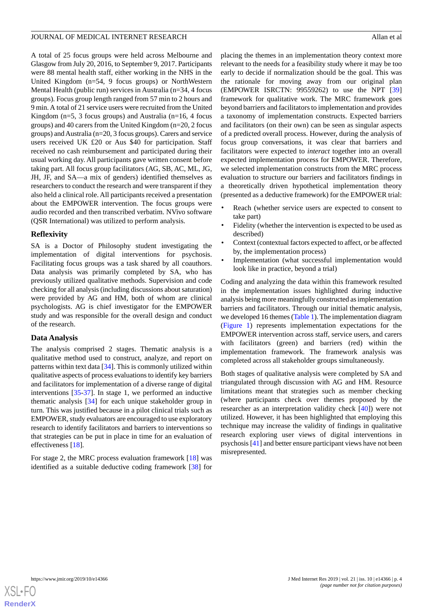A total of 25 focus groups were held across Melbourne and Glasgow from July 20, 2016, to September 9, 2017. Participants were 88 mental health staff, either working in the NHS in the United Kingdom (n=54, 9 focus groups) or NorthWestern Mental Health (public run) services in Australia (n=34, 4 focus groups). Focus group length ranged from 57 min to 2 hours and 9 min. A total of 21 service users were recruited from the United Kingdom (n=5, 3 focus groups) and Australia (n=16, 4 focus groups) and 40 carers from the United Kingdom (n=20, 2 focus groups) and Australia (n=20, 3 focus groups). Carers and service users received UK £20 or Aus \$40 for participation. Staff received no cash reimbursement and participated during their usual working day. All participants gave written consent before taking part. All focus group facilitators (AG, SB, AC, ML, JG, JH, JF, and SA—a mix of genders) identified themselves as researchers to conduct the research and were transparent if they also held a clinical role. All participants received a presentation about the EMPOWER intervention. The focus groups were audio recorded and then transcribed verbatim. NVivo software (QSR International) was utilized to perform analysis.

## **Reflexivity**

SA is a Doctor of Philosophy student investigating the implementation of digital interventions for psychosis. Facilitating focus groups was a task shared by all coauthors. Data analysis was primarily completed by SA, who has previously utilized qualitative methods. Supervision and code checking for all analysis (including discussions about saturation) were provided by AG and HM, both of whom are clinical psychologists. AG is chief investigator for the EMPOWER study and was responsible for the overall design and conduct of the research.

## **Data Analysis**

The analysis comprised 2 stages. Thematic analysis is a qualitative method used to construct, analyze, and report on patterns within text data [[34\]](#page-11-15). This is commonly utilized within qualitative aspects of process evaluations to identify key barriers and facilitators for implementation of a diverse range of digital interventions [[35-](#page-11-16)[37\]](#page-11-17). In stage 1, we performed an inductive thematic analysis [\[34](#page-11-15)] for each unique stakeholder group in turn. This was justified because in a pilot clinical trials such as EMPOWER, study evaluators are encouraged to use exploratory research to identify facilitators and barriers to interventions so that strategies can be put in place in time for an evaluation of effectiveness [[18\]](#page-10-17).

For stage 2, the MRC process evaluation framework [[18\]](#page-10-17) was identified as a suitable deductive coding framework [[38\]](#page-11-18) for

placing the themes in an implementation theory context more relevant to the needs for a feasibility study where it may be too early to decide if normalization should be the goal. This was the rationale for moving away from our original plan (EMPOWER ISRCTN: 99559262) to use the NPT [\[39](#page-11-19)] framework for qualitative work. The MRC framework goes beyond barriers and facilitators to implementation and provides a taxonomy of implementation constructs. Expected barriers and facilitators (on their own) can be seen as singular aspects of a predicted overall process. However, during the analysis of focus group conversations, it was clear that barriers and facilitators were expected to *interact* together into an overall expected implementation process for EMPOWER. Therefore, we selected implementation constructs from the MRC process evaluation to structure our barriers and facilitators findings in a theoretically driven hypothetical implementation theory (presented as a deductive framework) for the EMPOWER trial:

- Reach (whether service users are expected to consent to take part)
- Fidelity (whether the intervention is expected to be used as described)
- Context (contextual factors expected to affect, or be affected by, the implementation process)
- Implementation (what successful implementation would look like in practice, beyond a trial)

Coding and analyzing the data within this framework resulted in the implementation issues highlighted during inductive analysis being more meaningfully constructed as implementation barriers and facilitators. Through our initial thematic analysis, we developed 16 themes ([Table 1](#page-4-0)). The implementation diagram ([Figure 1\)](#page-4-1) represents implementation expectations for the EMPOWER intervention across staff, service users, and carers with facilitators (green) and barriers (red) within the implementation framework. The framework analysis was completed across all stakeholder groups simultaneously.

Both stages of qualitative analysis were completed by SA and triangulated through discussion with AG and HM. Resource limitations meant that strategies such as member checking (where participants check over themes proposed by the researcher as an interpretation validity check [\[40](#page-11-20)]) were not utilized. However, it has been highlighted that employing this technique may increase the validity of findings in qualitative research exploring user views of digital interventions in psychosis [\[41](#page-12-0)] and better ensure participant views have not been misrepresented.

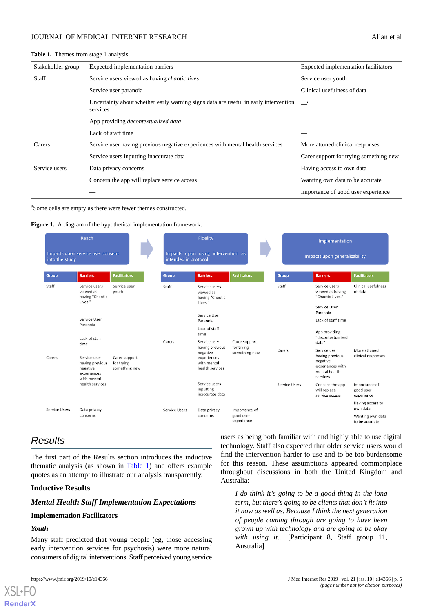#### <span id="page-4-0"></span>**Table 1.** Themes from stage 1 analysis.

| Stakeholder group | Expected implementation barriers                                                                | Expected implementation facilitators   |
|-------------------|-------------------------------------------------------------------------------------------------|----------------------------------------|
| Staff             | Service users viewed as having <i>chaotic lives</i>                                             | Service user youth                     |
|                   | Service user paranoia                                                                           | Clinical usefulness of data            |
|                   | Uncertainty about whether early warning signs data are useful in early intervention<br>services | a a                                    |
|                   | App providing <i>decontextualized</i> data                                                      |                                        |
|                   | Lack of staff time                                                                              |                                        |
| Carers            | Service user having previous negative experiences with mental health services                   | More attuned clinical responses        |
|                   | Service users inputting inaccurate data                                                         | Carer support for trying something new |
| Service users     | Data privacy concerns                                                                           | Having access to own data              |
|                   | Concern the app will replace service access                                                     | Wanting own data to be accurate.       |
|                   |                                                                                                 | Importance of good user experience     |

<span id="page-4-1"></span><sup>a</sup>Some cells are empty as there were fewer themes constructed.





## *Results*

The first part of the Results section introduces the inductive thematic analysis (as shown in [Table 1](#page-4-0)) and offers example quotes as an attempt to illustrate our analysis transparently.

#### **Inductive Results**

#### *Mental Health Staff Implementation Expectations*

#### **Implementation Facilitators**

## *Youth*

[XSL](http://www.w3.org/Style/XSL)•FO **[RenderX](http://www.renderx.com/)**

Many staff predicted that young people (eg, those accessing early intervention services for psychosis) were more natural consumers of digital interventions. Staff perceived young service

users as being both familiar with and highly able to use digital technology. Staff also expected that older service users would find the intervention harder to use and to be too burdensome for this reason. These assumptions appeared commonplace throughout discussions in both the United Kingdom and Australia:

*I do think it's going to be a good thing in the long term, but there's going to be clients that don't fit into it now as well as. Because I think the next generation of people coming through are going to have been grown up with technology and are going to be okay with using it...* [Participant 8, Staff group 11, Australia]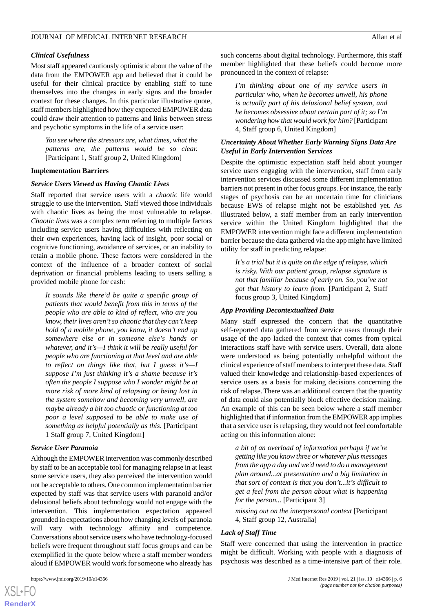#### *Clinical Usefulness*

Most staff appeared cautiously optimistic about the value of the data from the EMPOWER app and believed that it could be useful for their clinical practice by enabling staff to tune themselves into the changes in early signs and the broader context for these changes. In this particular illustrative quote, staff members highlighted how they expected EMPOWER data could draw their attention to patterns and links between stress and psychotic symptoms in the life of a service user:

*You see where the stressors are, what times, what the patterns are, the patterns would be so clear.* [Participant 1, Staff group 2, United Kingdom]

#### **Implementation Barriers**

#### *Service Users Viewed as Having Chaotic Lives*

Staff reported that service users with a *chaotic* life would struggle to use the intervention. Staff viewed those individuals with chaotic lives as being the most vulnerable to relapse. *Chaotic lives* was a complex term referring to multiple factors including service users having difficulties with reflecting on their own experiences, having lack of insight, poor social or cognitive functioning, avoidance of services, or an inability to retain a mobile phone. These factors were considered in the context of the influence of a broader context of social deprivation or financial problems leading to users selling a provided mobile phone for cash:

*It sounds like there'd be quite a specific group of patients that would benefit from this in terms of the people who are able to kind of reflect, who are you know, their lives aren't so chaotic that they can't keep hold of a mobile phone, you know, it doesn't end up somewhere else or in someone else's hands or whatever, and it's—I think it will be really useful for people who are functioning at that level and are able to reflect on things like that, but I guess it's—I suppose I'm just thinking it's a shame because it's often the people I suppose who I wonder might be at more risk of more kind of relapsing or being lost in the system somehow and becoming very unwell, are maybe already a bit too chaotic or functioning at too poor a level supposed to be able to make use of something as helpful potentially as this.* [Participant 1 Staff group 7, United Kingdom]

#### *Service User Paranoia*

Although the EMPOWER intervention was commonly described by staff to be an acceptable tool for managing relapse in at least some service users, they also perceived the intervention would not be acceptable to others. One common implementation barrier expected by staff was that service users with paranoid and/or delusional beliefs about technology would not engage with the intervention. This implementation expectation appeared grounded in expectations about how changing levels of paranoia will vary with technology affinity and competence. Conversations about service users who have technology-focused beliefs were frequent throughout staff focus groups and can be exemplified in the quote below where a staff member wonders aloud if EMPOWER would work for someone who already has

such concerns about digital technology. Furthermore, this staff member highlighted that these beliefs could become more pronounced in the context of relapse:

*I'm thinking about one of my service users in particular who, when he becomes unwell, his phone is actually part of his delusional belief system, and he becomes obsessive about certain part of it; so I'm wondering how that would work for him?* [Participant 4, Staff group 6, United Kingdom]

#### *Uncertainty About Whether Early Warning Signs Data Are Useful in Early Intervention Services*

Despite the optimistic expectation staff held about younger service users engaging with the intervention, staff from early intervention services discussed some different implementation barriers not present in other focus groups. For instance, the early stages of psychosis can be an uncertain time for clinicians because EWS of relapse might not be established yet. As illustrated below, a staff member from an early intervention service within the United Kingdom highlighted that the EMPOWER intervention might face a different implementation barrier because the data gathered via the app might have limited utility for staff in predicting relapse:

*It's a trial but it is quite on the edge of relapse, which is risky. With our patient group, relapse signature is not that familiar because of early on. So, you've not got that history to learn from.* [Participant 2, Staff focus group 3, United Kingdom]

#### *App Providing Decontextualized Data*

Many staff expressed the concern that the quantitative self-reported data gathered from service users through their usage of the app lacked the context that comes from typical interactions staff have with service users. Overall, data alone were understood as being potentially unhelpful without the clinical experience of staff members to interpret these data. Staff valued their knowledge and relationship-based experiences of service users as a basis for making decisions concerning the risk of relapse. There was an additional concern that the quantity of data could also potentially block effective decision making. An example of this can be seen below where a staff member highlighted that if information from the EMPOWER app implies that a service user is relapsing, they would not feel comfortable acting on this information alone:

*a bit of an overload of information perhaps if we're getting like you know three or whatever plus messages from the app a day and we'd need to do a management plan around...at presentation and a big limitation in that sort of context is that you don't...it's difficult to get a feel from the person about what is happening for the person...* [Participant 3]

*missing out on the interpersonal context* [Participant 4, Staff group 12, Australia]

#### *Lack of Staff Time*

Staff were concerned that using the intervention in practice might be difficult. Working with people with a diagnosis of psychosis was described as a time-intensive part of their role.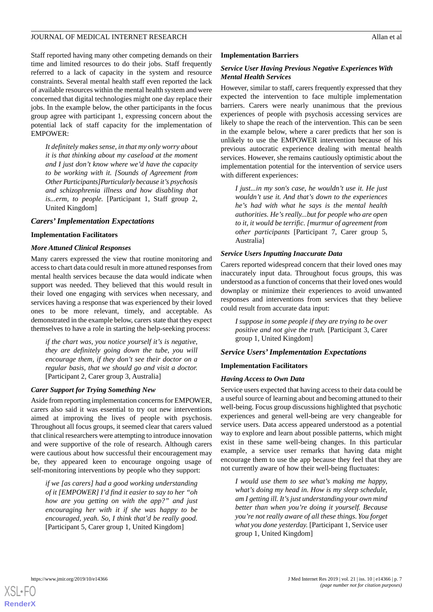Staff reported having many other competing demands on their time and limited resources to do their jobs. Staff frequently referred to a lack of capacity in the system and resource constraints. Several mental health staff even reported the lack of available resources within the mental health system and were concerned that digital technologies might one day replace their jobs. In the example below, the other participants in the focus group agree with participant 1, expressing concern about the potential lack of staff capacity for the implementation of EMPOWER:

*It definitely makes sense, in that my only worry about it is that thinking about my caseload at the moment and I just don't know where we'd have the capacity to be working with it. [Sounds of Agreement from Other Participants]Particularly because it's psychosis and schizophrenia illness and how disabling that is...erm, to people.* [Participant 1, Staff group 2, United Kingdom]

#### *Carers' Implementation Expectations*

#### **Implementation Facilitators**

#### *More Attuned Clinical Responses*

Many carers expressed the view that routine monitoring and access to chart data could result in more attuned responses from mental health services because the data would indicate when support was needed. They believed that this would result in their loved one engaging with services when necessary, and services having a response that was experienced by their loved ones to be more relevant, timely, and acceptable. As demonstrated in the example below, carers state that they expect themselves to have a role in starting the help-seeking process:

*if the chart was, you notice yourself it's is negative, they are definitely going down the tube, you will encourage them, if they don't see their doctor on a regular basis, that we should go and visit a doctor.* [Participant 2, Carer group 3, Australia]

#### *Carer Support for Trying Something New*

Aside from reporting implementation concerns for EMPOWER, carers also said it was essential to try out new interventions aimed at improving the lives of people with psychosis. Throughout all focus groups, it seemed clear that carers valued that clinical researchers were attempting to introduce innovation and were supportive of the role of research. Although carers were cautious about how successful their encouragement may be, they appeared keen to encourage ongoing usage of self-monitoring interventions by people who they support:

*if we [as carers] had a good working understanding of it [EMPOWER] I'd find it easier to say to her "oh how are you getting on with the app?" and just encouraging her with it if she was happy to be encouraged, yeah. So, I think that'd be really good.* [Participant 5, Carer group 1, United Kingdom]

#### **Implementation Barriers**

#### *Service User Having Previous Negative Experiences With Mental Health Services*

However, similar to staff, carers frequently expressed that they expected the intervention to face multiple implementation barriers. Carers were nearly unanimous that the previous experiences of people with psychosis accessing services are likely to shape the reach of the intervention. This can be seen in the example below, where a carer predicts that her son is unlikely to use the EMPOWER intervention because of his previous autocratic experience dealing with mental health services. However, she remains cautiously optimistic about the implementation potential for the intervention of service users with different experiences:

*I just...in my son's case, he wouldn't use it. He just wouldn't use it. And that's down to the experiences he's had with what he says is the mental health authorities. He's really...but for people who are open to it, it would be terrific. [murmur of agreement from other participants* [Participant 7, Carer group 5, Australia]

#### *Service Users Inputting Inaccurate Data*

Carers reported widespread concern that their loved ones may inaccurately input data. Throughout focus groups, this was understood as a function of concerns that their loved ones would downplay or minimize their experiences to avoid unwanted responses and interventions from services that they believe could result from accurate data input:

*I suppose in some people if they are trying to be over positive and not give the truth.* [Participant 3, Carer group 1, United Kingdom]

#### *Service Users' Implementation Expectations*

#### **Implementation Facilitators**

#### *Having Access to Own Data*

Service users expected that having access to their data could be a useful source of learning about and becoming attuned to their well-being. Focus group discussions highlighted that psychotic experiences and general well-being are very changeable for service users. Data access appeared understood as a potential way to explore and learn about possible patterns, which might exist in these same well-being changes. In this particular example, a service user remarks that having data might encourage them to use the app because they feel that they are not currently aware of how their well-being fluctuates:

*I would use them to see what's making me happy, what's doing my head in. How is my sleep schedule, am I getting ill. It's just understanding your own mind better than when you're doing it yourself. Because you're not really aware of all these things. You forget what you done yesterday.* [Participant 1, Service user group 1, United Kingdom]

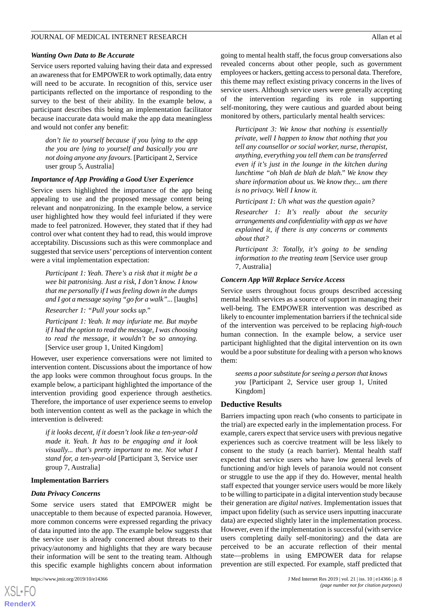#### *Wanting Own Data to Be Accurate*

Service users reported valuing having their data and expressed an awareness that for EMPOWER to work optimally, data entry will need to be accurate. In recognition of this, service user participants reflected on the importance of responding to the survey to the best of their ability. In the example below, a participant describes this being an implementation facilitator because inaccurate data would make the app data meaningless and would not confer any benefit:

*don't lie to yourself because if you lying to the app the you are lying to yourself and basically you are not doing anyone any favours.* [Participant 2, Service user group 5, Australia]

#### *Importance of App Providing a Good User Experience*

Service users highlighted the importance of the app being appealing to use and the proposed message content being relevant and nonpatronizing. In the example below, a service user highlighted how they would feel infuriated if they were made to feel patronized. However, they stated that if they had control over what content they had to read, this would improve acceptability. Discussions such as this were commonplace and suggested that service users' perceptions of intervention content were a vital implementation expectation:

*Participant 1: Yeah. There's a risk that it might be a wee bit patronising. Just a risk, I don't know. I know that me personally if I was feeling down in the dumps and I got a message saying "go for a walk"...* [laughs]

*Researcher 1: "Pull your socks up."*

*Participant 1: Yeah. It may infuriate me. But maybe if I had the option to read the message, I was choosing to read the message, it wouldn't be so annoying.* [Service user group 1, United Kingdom]

However, user experience conversations were not limited to intervention content. Discussions about the importance of how the app looks were common throughout focus groups. In the example below, a participant highlighted the importance of the intervention providing good experience through aesthetics. Therefore, the importance of user experience seems to envelop both intervention content as well as the package in which the intervention is delivered:

*if it looks decent, if it doesn't look like a ten-year-old made it. Yeah. It has to be engaging and it look visually... that's pretty important to me. Not what I stand for, a ten-year-old* [Participant 3, Service user group 7, Australia]

#### **Implementation Barriers**

#### *Data Privacy Concerns*

Some service users stated that EMPOWER might be unacceptable to them because of expected paranoia. However, more common concerns were expressed regarding the privacy of data inputted into the app. The example below suggests that the service user is already concerned about threats to their privacy/autonomy and highlights that they are wary because their information will be sent to the treating team. Although this specific example highlights concern about information

 $XS$  $\cdot$ FC **[RenderX](http://www.renderx.com/)** going to mental health staff, the focus group conversations also revealed concerns about other people, such as government employees or hackers, getting access to personal data. Therefore, this theme may reflect existing privacy concerns in the lives of service users. Although service users were generally accepting of the intervention regarding its role in supporting self-monitoring, they were cautious and guarded about being monitored by others, particularly mental health services:

*Participant 3: We know that nothing is essentially private, well I happen to know that nothing that you tell any counsellor or social worker, nurse, therapist, anything, everything you tell them can be transferred even if it's just in the lounge in the kitchen during lunchtime "oh blah de blah de blah." We know they share information about us. We know they... um there is no privacy. Well I know it.*

*Participant 1: Uh what was the question again?*

*Researcher 1: It's really about the security arrangements and confidentiality with app as we have explained it, if there is any concerns or comments about that?*

*Participant 3: Totally, it's going to be sending information to the treating team* [Service user group 7, Australia]

#### *Concern App Will Replace Service Access*

Service users throughout focus groups described accessing mental health services as a source of support in managing their well-being. The EMPOWER intervention was described as likely to encounter implementation barriers if the technical side of the intervention was perceived to be replacing *high-touch* human connection. In the example below, a service user participant highlighted that the digital intervention on its own would be a poor substitute for dealing with a person who knows them:

*seems a poor substitute for seeing a person that knows you* [Participant 2, Service user group 1, United Kingdom]

#### **Deductive Results**

Barriers impacting upon reach (who consents to participate in the trial) are expected early in the implementation process. For example, carers expect that service users with previous negative experiences such as coercive treatment will be less likely to consent to the study (a reach barrier). Mental health staff expected that service users who have low general levels of functioning and/or high levels of paranoia would not consent or struggle to use the app if they do. However, mental health staff expected that younger service users would be more likely to be willing to participate in a digital intervention study because their generation are *digital natives*. Implementation issues that impact upon fidelity (such as service users inputting inaccurate data) are expected slightly later in the implementation process. However, even if the implementation is successful (with service users completing daily self-monitoring) and the data are perceived to be an accurate reflection of their mental state—problems in using EMPOWER data for relapse prevention are still expected. For example, staff predicted that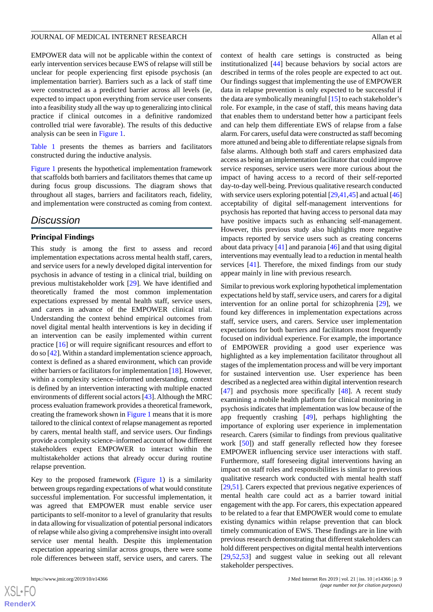EMPOWER data will not be applicable within the context of early intervention services because EWS of relapse will still be unclear for people experiencing first episode psychosis (an implementation barrier). Barriers such as a lack of staff time were constructed as a predicted barrier across all levels (ie, expected to impact upon everything from service user consents into a feasibility study all the way up to generalizing into clinical practice if clinical outcomes in a definitive randomized controlled trial were favorable). The results of this deductive analysis can be seen in [Figure 1.](#page-4-1)

[Table 1](#page-4-0) presents the themes as barriers and facilitators constructed during the inductive analysis.

[Figure 1](#page-4-1) presents the hypothetical implementation framework that scaffolds both barriers and facilitators themes that came up during focus group discussions. The diagram shows that throughout all stages, barriers and facilitators reach, fidelity, and implementation were constructed as coming from context.

## *Discussion*

#### **Principal Findings**

This study is among the first to assess and record implementation expectations across mental health staff, carers, and service users for a newly developed digital intervention for psychosis in advance of testing in a clinical trial, building on previous multistakeholder work [\[29](#page-11-10)]. We have identified and theoretically framed the most common implementation expectations expressed by mental health staff, service users, and carers in advance of the EMPOWER clinical trial. Understanding the context behind empirical outcomes from novel digital mental health interventions is key in deciding if an intervention can be easily implemented within current practice [\[16](#page-10-15)] or will require significant resources and effort to do so [\[42](#page-12-1)]. Within a standard implementation science approach, context is defined as a shared environment, which can provide either barriers or facilitators for implementation [[18\]](#page-10-17). However, within a complexity science–informed understanding, context is defined by an intervention interacting with multiple enacted environments of different social actors [[43\]](#page-12-2). Although the MRC process evaluation framework provides a theoretical framework, creating the framework shown in [Figure 1](#page-4-1) means that it is more tailored to the clinical context of relapse management as reported by carers, mental health staff, and service users. Our findings provide a complexity science–informed account of how different stakeholders expect EMPOWER to interact within the multistakeholder actions that already occur during routine relapse prevention.

Key to the proposed framework ([Figure 1\)](#page-4-1) is a similarity between groups regarding expectations of what would constitute successful implementation. For successful implementation, it was agreed that EMPOWER must enable service user participants to self-monitor to a level of granularity that results in data allowing for visualization of potential personal indicators of relapse while also giving a comprehensive insight into overall service user mental health. Despite this implementation expectation appearing similar across groups, there were some role differences between staff, service users, and carers. The

context of health care settings is constructed as being institutionalized [[44\]](#page-12-3) because behaviors by social actors are described in terms of the roles people are expected to act out. Our findings suggest that implementing the use of EMPOWER data in relapse prevention is only expected to be successful if the data are symbolically meaningful [[15\]](#page-10-14) to each stakeholder's role. For example, in the case of staff, this means having data that enables them to understand better how a participant feels and can help them differentiate EWS of relapse from a false alarm. For carers, useful data were constructed as staff becoming more attuned and being able to differentiate relapse signals from false alarms. Although both staff and carers emphasized data access as being an implementation facilitator that could improve service responses, service users were more curious about the impact of having access to a record of their self-reported day-to-day well-being. Previous qualitative research conducted with service users exploring potential  $[29,41,45]$  $[29,41,45]$  $[29,41,45]$  $[29,41,45]$  $[29,41,45]$  and actual  $[46]$  $[46]$  $[46]$ acceptability of digital self-management interventions for psychosis has reported that having access to personal data may have positive impacts such as enhancing self-management. However, this previous study also highlights more negative impacts reported by service users such as creating concerns about data privacy [[41\]](#page-12-0) and paranoia [[46\]](#page-12-5) and that using digital interventions may eventually lead to a reduction in mental health services [\[41](#page-12-0)]. Therefore, the mixed findings from our study appear mainly in line with previous research.

Similar to previous work exploring hypothetical implementation expectations held by staff, service users, and carers for a digital intervention for an online portal for schizophrenia [\[29](#page-11-10)], we found key differences in implementation expectations across staff, service users, and carers. Service user implementation expectations for both barriers and facilitators most frequently focused on individual experience. For example, the importance of EMPOWER providing a good user experience was highlighted as a key implementation facilitator throughout all stages of the implementation process and will be very important for sustained intervention use. User experience has been described as a neglected area within digital intervention research [[47\]](#page-12-6) and psychosis more specifically [[48\]](#page-12-7). A recent study examining a mobile health platform for clinical monitoring in psychosis indicates that implementation was low because of the app frequently crashing [\[49](#page-12-8)], perhaps highlighting the importance of exploring user experience in implementation research. Carers (similar to findings from previous qualitative work [[50\]](#page-12-9)) and staff generally reflected how they foresee EMPOWER influencing service user interactions with staff. Furthermore, staff foreseeing digital interventions having an impact on staff roles and responsibilities is similar to previous qualitative research work conducted with mental health staff [[29,](#page-11-10)[51\]](#page-12-10). Carers expected that previous negative experiences of mental health care could act as a barrier toward initial engagement with the app. For carers, this expectation appeared to be related to a fear that EMPOWER would come to emulate existing dynamics within relapse prevention that can block timely communication of EWS. These findings are in line with previous research demonstrating that different stakeholders can hold different perspectives on digital mental health interventions [[29,](#page-11-10)[52,](#page-12-11)[53\]](#page-12-12) and suggest value in seeking out all relevant stakeholder perspectives.

 $XS$ -FO **[RenderX](http://www.renderx.com/)**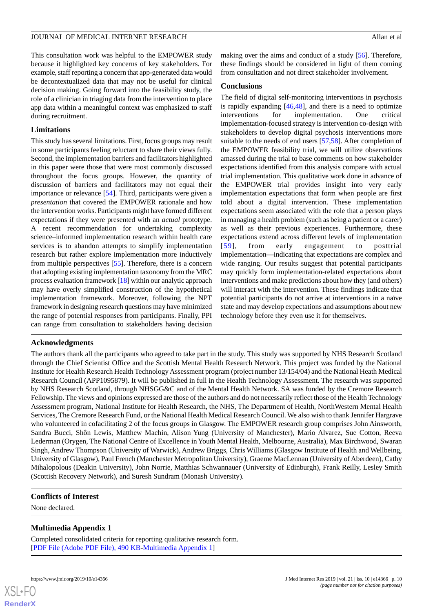This consultation work was helpful to the EMPOWER study because it highlighted key concerns of key stakeholders. For example, staff reporting a concern that app-generated data would be decontextualized data that may not be useful for clinical decision making. Going forward into the feasibility study, the role of a clinician in triaging data from the intervention to place app data within a meaningful context was emphasized to staff during recruitment.

### **Limitations**

This study has several limitations. First, focus groups may result in some participants feeling reluctant to share their views fully. Second, the implementation barriers and facilitators highlighted in this paper were those that were most commonly discussed throughout the focus groups. However, the quantity of discussion of barriers and facilitators may not equal their importance or relevance [\[54](#page-12-13)]. Third, participants were given a *presentation* that covered the EMPOWER rationale and how the intervention works. Participants might have formed different expectations if they were presented with an *actual* prototype. A recent recommendation for undertaking complexity science–informed implementation research within health care services is to abandon attempts to simplify implementation research but rather explore implementation more inductively from multiple perspectives [\[55](#page-12-14)]. Therefore, there is a concern that adopting existing implementation taxonomy from the MRC process evaluation framework [[18\]](#page-10-17) within our analytic approach may have overly simplified construction of the hypothetical implementation framework. Moreover, following the NPT framework in designing research questions may have minimized the range of potential responses from participants. Finally, PPI can range from consultation to stakeholders having decision

## **Acknowledgments**

making over the aims and conduct of a study [\[56](#page-12-15)]. Therefore, these findings should be considered in light of them coming from consultation and not direct stakeholder involvement.

#### **Conclusions**

The field of digital self-monitoring interventions in psychosis is rapidly expanding [[46,](#page-12-5)[48](#page-12-7)], and there is a need to optimize interventions for implementation. One critical implementation-focused strategy is intervention co-design with stakeholders to develop digital psychosis interventions more suitable to the needs of end users [[57,](#page-12-16)[58](#page-12-17)]. After completion of the EMPOWER feasibility trial, we will utilize observations amassed during the trial to base comments on how stakeholder expectations identified from this analysis compare with actual trial implementation. This qualitative work done in advance of the EMPOWER trial provides insight into very early implementation expectations that form when people are first told about a digital intervention. These implementation expectations seem associated with the role that a person plays in managing a health problem (such as being a patient or a carer) as well as their previous experiences. Furthermore, these expectations extend across different levels of implementation [[59](#page-12-18)], from early engagement to posttrial implementation—indicating that expectations are complex and wide ranging. Our results suggest that potential participants may quickly form implementation-related expectations about interventions and make predictions about how they (and others) will interact with the intervention. These findings indicate that potential participants do not arrive at interventions in a naïve state and may develop expectations and assumptions about new technology before they even use it for themselves.

The authors thank all the participants who agreed to take part in the study. This study was supported by NHS Research Scotland through the Chief Scientist Office and the Scottish Mental Health Research Network. This project was funded by the National Institute for Health Research Health Technology Assessment program (project number 13/154/04) and the National Heath Medical Research Council (APP1095879). It will be published in full in the Health Technology Assessment. The research was supported by NHS Research Scotland, through NHSGG&C and of the Mental Health Network. SA was funded by the Cremore Research Fellowship. The views and opinions expressed are those of the authors and do not necessarily reflect those of the Health Technology Assessment program, National Institute for Health Research, the NHS, The Department of Health, NorthWestern Mental Health Services, The Cremore Research Fund, or the National Health Medical Research Council. We also wish to thank Jennifer Hargrave who volunteered in cofacilitating 2 of the focus groups in Glasgow. The EMPOWER research group comprises John Ainsworth, Sandra Bucci, Shôn Lewis, Matthew Machin, Alison Yung (University of Manchester), Mario Alvarez, Sue Cotton, Reeva Lederman (Orygen, The National Centre of Excellence in Youth Mental Health, Melbourne, Australia), Max Birchwood, Swaran Singh, Andrew Thompson (University of Warwick), Andrew Briggs, Chris Williams (Glasgow Institute of Health and Wellbeing, University of Glasgow), Paul French (Manchester Metropolitan University), Graeme MacLennan (University of Aberdeen), Cathy Mihalopolous (Deakin University), John Norrie, Matthias Schwannauer (University of Edinburgh), Frank Reilly, Lesley Smith (Scottish Recovery Network), and Suresh Sundram (Monash University).

#### <span id="page-9-0"></span>**Conflicts of Interest**

None declared.

## **Multimedia Appendix 1**

Completed consolidated criteria for reporting qualitative research form. [[PDF File \(Adobe PDF File\), 490 KB](https://jmir.org/api/download?alt_name=jmir_v21i10e14366_app1.pdf&filename=1c0a5a6a32bc2eb0f016294bf9c6353b.pdf)-[Multimedia Appendix 1](https://jmir.org/api/download?alt_name=jmir_v21i10e14366_app1.pdf&filename=1c0a5a6a32bc2eb0f016294bf9c6353b.pdf)]

 $XS$  • FO **[RenderX](http://www.renderx.com/)**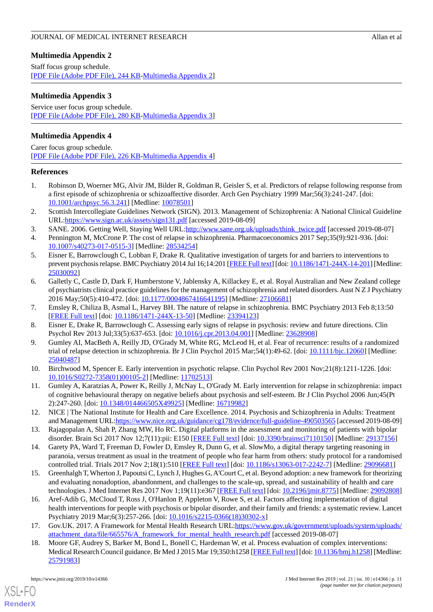## <span id="page-10-18"></span>**Multimedia Appendix 2**

Staff focus group schedule. [[PDF File \(Adobe PDF File\), 244 KB](https://jmir.org/api/download?alt_name=jmir_v21i10e14366_app2.pdf&filename=2318bb01ba9af35128c8ccab2b201602.pdf)-[Multimedia Appendix 2](https://jmir.org/api/download?alt_name=jmir_v21i10e14366_app2.pdf&filename=2318bb01ba9af35128c8ccab2b201602.pdf)]

## **Multimedia Appendix 3**

Service user focus group schedule. [[PDF File \(Adobe PDF File\), 280 KB](https://jmir.org/api/download?alt_name=jmir_v21i10e14366_app3.pdf&filename=49b935cb979b22b3a5b3fc0ce293f418.pdf)-[Multimedia Appendix 3](https://jmir.org/api/download?alt_name=jmir_v21i10e14366_app3.pdf&filename=49b935cb979b22b3a5b3fc0ce293f418.pdf)]

## <span id="page-10-19"></span>**Multimedia Appendix 4**

Carer focus group schedule. [[PDF File \(Adobe PDF File\), 226 KB](https://jmir.org/api/download?alt_name=jmir_v21i10e14366_app4.pdf&filename=a5706459409e2f25bbec89f00f8993ec.pdf)-[Multimedia Appendix 4](https://jmir.org/api/download?alt_name=jmir_v21i10e14366_app4.pdf&filename=a5706459409e2f25bbec89f00f8993ec.pdf)]

## <span id="page-10-0"></span>**References**

- <span id="page-10-1"></span>1. Robinson D, Woerner MG, Alvir JM, Bilder R, Goldman R, Geisler S, et al. Predictors of relapse following response from a first episode of schizophrenia or schizoaffective disorder. Arch Gen Psychiatry 1999 Mar;56(3):241-247. [doi: [10.1001/archpsyc.56.3.241\]](http://dx.doi.org/10.1001/archpsyc.56.3.241) [Medline: [10078501\]](http://www.ncbi.nlm.nih.gov/entrez/query.fcgi?cmd=Retrieve&db=PubMed&list_uids=10078501&dopt=Abstract)
- <span id="page-10-3"></span><span id="page-10-2"></span>2. Scottish Intercollegiate Guidelines Network (SIGN). 2013. Management of Schizophrenia: A National Clinical Guideline URL[:https://www.sign.ac.uk/assets/sign131.pdf](https://www.sign.ac.uk/assets/sign131.pdf) [accessed 2019-08-09]
- <span id="page-10-4"></span>3. SANE. 2006. Getting Well, Staying Well URL[:http://www.sane.org.uk/uploads/think\\_twice.pdf](http://www.sane.org.uk/uploads/think_twice.pdf) [accessed 2019-08-07]
- 4. Pennington M, McCrone P. The cost of relapse in schizophrenia. Pharmacoeconomics 2017 Sep;35(9):921-936. [doi: [10.1007/s40273-017-0515-3\]](http://dx.doi.org/10.1007/s40273-017-0515-3) [Medline: [28534254](http://www.ncbi.nlm.nih.gov/entrez/query.fcgi?cmd=Retrieve&db=PubMed&list_uids=28534254&dopt=Abstract)]
- <span id="page-10-5"></span>5. Eisner E, Barrowclough C, Lobban F, Drake R. Qualitative investigation of targets for and barriers to interventions to prevent psychosis relapse. BMC Psychiatry 2014 Jul 16;14:201 [[FREE Full text\]](https://bmcpsychiatry.biomedcentral.com/articles/10.1186/1471-244X-14-201) [doi: [10.1186/1471-244X-14-201](http://dx.doi.org/10.1186/1471-244X-14-201)] [Medline: [25030092](http://www.ncbi.nlm.nih.gov/entrez/query.fcgi?cmd=Retrieve&db=PubMed&list_uids=25030092&dopt=Abstract)]
- <span id="page-10-7"></span><span id="page-10-6"></span>6. Galletly C, Castle D, Dark F, Humberstone V, Jablensky A, Killackey E, et al. Royal Australian and New Zealand college of psychiatrists clinical practice guidelines for the management of schizophrenia and related disorders. Aust N Z J Psychiatry 2016 May;50(5):410-472. [doi: [10.1177/0004867416641195\]](http://dx.doi.org/10.1177/0004867416641195) [Medline: [27106681](http://www.ncbi.nlm.nih.gov/entrez/query.fcgi?cmd=Retrieve&db=PubMed&list_uids=27106681&dopt=Abstract)]
- <span id="page-10-8"></span>7. Emsley R, Chiliza B, Asmal L, Harvey BH. The nature of relapse in schizophrenia. BMC Psychiatry 2013 Feb 8;13:50 [[FREE Full text](https://bmcpsychiatry.biomedcentral.com/articles/10.1186/1471-244X-13-50)] [doi: [10.1186/1471-244X-13-50\]](http://dx.doi.org/10.1186/1471-244X-13-50) [Medline: [23394123\]](http://www.ncbi.nlm.nih.gov/entrez/query.fcgi?cmd=Retrieve&db=PubMed&list_uids=23394123&dopt=Abstract)
- <span id="page-10-9"></span>8. Eisner E, Drake R, Barrowclough C. Assessing early signs of relapse in psychosis: review and future directions. Clin Psychol Rev 2013 Jul;33(5):637-653. [doi: [10.1016/j.cpr.2013.04.001](http://dx.doi.org/10.1016/j.cpr.2013.04.001)] [Medline: [23628908](http://www.ncbi.nlm.nih.gov/entrez/query.fcgi?cmd=Retrieve&db=PubMed&list_uids=23628908&dopt=Abstract)]
- <span id="page-10-10"></span>9. Gumley AI, MacBeth A, Reilly JD, O'Grady M, White RG, McLeod H, et al. Fear of recurrence: results of a randomized trial of relapse detection in schizophrenia. Br J Clin Psychol 2015 Mar;54(1):49-62. [doi: [10.1111/bjc.12060\]](http://dx.doi.org/10.1111/bjc.12060) [Medline: [25040487](http://www.ncbi.nlm.nih.gov/entrez/query.fcgi?cmd=Retrieve&db=PubMed&list_uids=25040487&dopt=Abstract)]
- <span id="page-10-11"></span>10. Birchwood M, Spencer E. Early intervention in psychotic relapse. Clin Psychol Rev 2001 Nov;21(8):1211-1226. [doi: [10.1016/S0272-7358\(01\)00105-2\]](http://dx.doi.org/10.1016/S0272-7358(01)00105-2) [Medline: [11702513](http://www.ncbi.nlm.nih.gov/entrez/query.fcgi?cmd=Retrieve&db=PubMed&list_uids=11702513&dopt=Abstract)]
- <span id="page-10-12"></span>11. Gumley A, Karatzias A, Power K, Reilly J, McNay L, O'Grady M. Early intervention for relapse in schizophrenia: impact of cognitive behavioural therapy on negative beliefs about psychosis and self-esteem. Br J Clin Psychol 2006 Jun;45(Pt 2):247-260. [doi: [10.1348/014466505X49925\]](http://dx.doi.org/10.1348/014466505X49925) [Medline: [16719982\]](http://www.ncbi.nlm.nih.gov/entrez/query.fcgi?cmd=Retrieve&db=PubMed&list_uids=16719982&dopt=Abstract)
- <span id="page-10-13"></span>12. NICE | The National Institute for Health and Care Excellence. 2014. Psychosis and Schizophrenia in Adults: Treatment and Management URL[:https://www.nice.org.uk/guidance/cg178/evidence/full-guideline-490503565](https://www.nice.org.uk/guidance/cg178/evidence/full-guideline-490503565) [accessed 2019-08-09]
- <span id="page-10-14"></span>13. Rajagopalan A, Shah P, Zhang MW, Ho RC. Digital platforms in the assessment and monitoring of patients with bipolar disorder. Brain Sci 2017 Nov 12;7(11):pii: E150 [[FREE Full text](http://www.mdpi.com/resolver?pii=brainsci7110150)] [doi: [10.3390/brainsci7110150](http://dx.doi.org/10.3390/brainsci7110150)] [Medline: [29137156](http://www.ncbi.nlm.nih.gov/entrez/query.fcgi?cmd=Retrieve&db=PubMed&list_uids=29137156&dopt=Abstract)]
- <span id="page-10-15"></span>14. Garety PA, Ward T, Freeman D, Fowler D, Emsley R, Dunn G, et al. SlowMo, a digital therapy targeting reasoning in paranoia, versus treatment as usual in the treatment of people who fear harm from others: study protocol for a randomised controlled trial. Trials 2017 Nov 2;18(1):510 [\[FREE Full text\]](https://trialsjournal.biomedcentral.com/articles/10.1186/s13063-017-2242-7) [doi: [10.1186/s13063-017-2242-7\]](http://dx.doi.org/10.1186/s13063-017-2242-7) [Medline: [29096681\]](http://www.ncbi.nlm.nih.gov/entrez/query.fcgi?cmd=Retrieve&db=PubMed&list_uids=29096681&dopt=Abstract)
- <span id="page-10-16"></span>15. Greenhalgh T, Wherton J, Papoutsi C, Lynch J, Hughes G, A'Court C, et al. Beyond adoption: a new framework for theorizing and evaluating nonadoption, abandonment, and challenges to the scale-up, spread, and sustainability of health and care technologies. J Med Internet Res 2017 Nov 1;19(11):e367 [\[FREE Full text\]](https://www.jmir.org/2017/11/e367/) [doi: [10.2196/jmir.8775](http://dx.doi.org/10.2196/jmir.8775)] [Medline: [29092808](http://www.ncbi.nlm.nih.gov/entrez/query.fcgi?cmd=Retrieve&db=PubMed&list_uids=29092808&dopt=Abstract)]
- <span id="page-10-17"></span>16. Aref-Adib G, McCloud T, Ross J, O'Hanlon P, Appleton V, Rowe S, et al. Factors affecting implementation of digital health interventions for people with psychosis or bipolar disorder, and their family and friends: a systematic review. Lancet Psychiatry 2019 Mar;6(3):257-266. [doi: [10.1016/s2215-0366\(18\)30302-x\]](http://dx.doi.org/10.1016/s2215-0366(18)30302-x)
- 17. Gov.UK. 2017. A Framework for Mental Health Research URL[:https://www.gov.uk/government/uploads/system/uploads/](https://www.gov.uk/government/uploads/system/uploads/attachment_data/file/665576/A_framework_for_mental_health_research.pdf) [attachment\\_data/file/665576/A\\_framework\\_for\\_mental\\_health\\_research.pdf](https://www.gov.uk/government/uploads/system/uploads/attachment_data/file/665576/A_framework_for_mental_health_research.pdf) [accessed 2019-08-07]
- 18. Moore GF, Audrey S, Barker M, Bond L, Bonell C, Hardeman W, et al. Process evaluation of complex interventions: Medical Research Council guidance. Br Med J 2015 Mar 19;350:h1258 [\[FREE Full text](http://www.bmj.com/cgi/pmidlookup?view=long&pmid=25791983)] [doi: [10.1136/bmj.h1258\]](http://dx.doi.org/10.1136/bmj.h1258) [Medline: [25791983](http://www.ncbi.nlm.nih.gov/entrez/query.fcgi?cmd=Retrieve&db=PubMed&list_uids=25791983&dopt=Abstract)]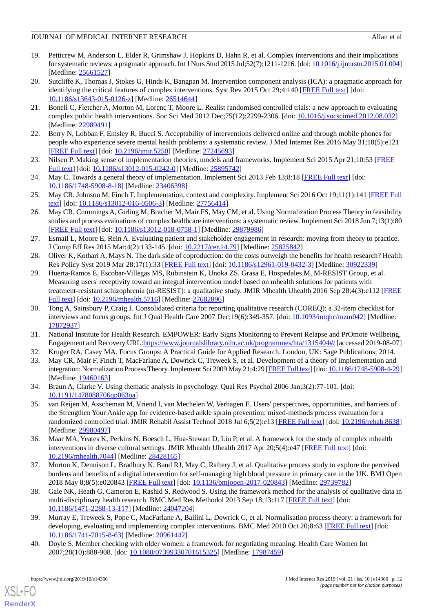- <span id="page-11-0"></span>19. Petticrew M, Anderson L, Elder R, Grimshaw J, Hopkins D, Hahn R, et al. Complex interventions and their implications for systematic reviews: a pragmatic approach. Int J Nurs Stud 2015 Jul;52(7):1211-1216. [doi: [10.1016/j.ijnurstu.2015.01.004\]](http://dx.doi.org/10.1016/j.ijnurstu.2015.01.004) [Medline: [25661527](http://www.ncbi.nlm.nih.gov/entrez/query.fcgi?cmd=Retrieve&db=PubMed&list_uids=25661527&dopt=Abstract)]
- <span id="page-11-1"></span>20. Sutcliffe K, Thomas J, Stokes G, Hinds K, Bangpan M. Intervention component analysis (ICA): a pragmatic approach for identifying the critical features of complex interventions. Syst Rev 2015 Oct 29;4:140 [[FREE Full text](https://systematicreviewsjournal.biomedcentral.com/articles/10.1186/s13643-015-0126-z)] [doi: [10.1186/s13643-015-0126-z](http://dx.doi.org/10.1186/s13643-015-0126-z)] [Medline: [26514644\]](http://www.ncbi.nlm.nih.gov/entrez/query.fcgi?cmd=Retrieve&db=PubMed&list_uids=26514644&dopt=Abstract)
- <span id="page-11-2"></span>21. Bonell C, Fletcher A, Morton M, Lorenc T, Moore L. Realist randomised controlled trials: a new approach to evaluating complex public health interventions. Soc Sci Med 2012 Dec;75(12):2299-2306. [doi: [10.1016/j.socscimed.2012.08.032\]](http://dx.doi.org/10.1016/j.socscimed.2012.08.032) [Medline: [22989491](http://www.ncbi.nlm.nih.gov/entrez/query.fcgi?cmd=Retrieve&db=PubMed&list_uids=22989491&dopt=Abstract)]
- <span id="page-11-4"></span><span id="page-11-3"></span>22. Berry N, Lobban F, Emsley R, Bucci S. Acceptability of interventions delivered online and through mobile phones for people who experience severe mental health problems: a systematic review. J Med Internet Res 2016 May 31;18(5):e121 [[FREE Full text](https://www.jmir.org/2016/5/e121/)] [doi: [10.2196/jmir.5250](http://dx.doi.org/10.2196/jmir.5250)] [Medline: [27245693](http://www.ncbi.nlm.nih.gov/entrez/query.fcgi?cmd=Retrieve&db=PubMed&list_uids=27245693&dopt=Abstract)]
- <span id="page-11-5"></span>23. Nilsen P. Making sense of implementation theories, models and frameworks. Implement Sci 2015 Apr 21;10:53 [\[FREE](https://implementationscience.biomedcentral.com/articles/10.1186/s13012-015-0242-0) [Full text\]](https://implementationscience.biomedcentral.com/articles/10.1186/s13012-015-0242-0) [doi: [10.1186/s13012-015-0242-0](http://dx.doi.org/10.1186/s13012-015-0242-0)] [Medline: [25895742](http://www.ncbi.nlm.nih.gov/entrez/query.fcgi?cmd=Retrieve&db=PubMed&list_uids=25895742&dopt=Abstract)]
- <span id="page-11-6"></span>24. May C. Towards a general theory of implementation. Implement Sci 2013 Feb 13;8:18 [\[FREE Full text\]](https://implementationscience.biomedcentral.com/articles/10.1186/1748-5908-8-18) [doi: [10.1186/1748-5908-8-18\]](http://dx.doi.org/10.1186/1748-5908-8-18) [Medline: [23406398\]](http://www.ncbi.nlm.nih.gov/entrez/query.fcgi?cmd=Retrieve&db=PubMed&list_uids=23406398&dopt=Abstract)
- <span id="page-11-7"></span>25. May CR, Johnson M, Finch T. Implementation, context and complexity. Implement Sci 2016 Oct 19;11(1):141 [\[FREE Full](https://implementationscience.biomedcentral.com/articles/10.1186/s13012-016-0506-3) [text](https://implementationscience.biomedcentral.com/articles/10.1186/s13012-016-0506-3)] [doi: [10.1186/s13012-016-0506-3\]](http://dx.doi.org/10.1186/s13012-016-0506-3) [Medline: [27756414](http://www.ncbi.nlm.nih.gov/entrez/query.fcgi?cmd=Retrieve&db=PubMed&list_uids=27756414&dopt=Abstract)]
- <span id="page-11-8"></span>26. May CR, Cummings A, Girling M, Bracher M, Mair FS, May CM, et al. Using Normalization Process Theory in feasibility studies and process evaluations of complex healthcare interventions: a systematic review. Implement Sci 2018 Jun 7;13(1):80 [[FREE Full text](https://implementationscience.biomedcentral.com/articles/10.1186/s13012-018-0758-1)] [doi: [10.1186/s13012-018-0758-1\]](http://dx.doi.org/10.1186/s13012-018-0758-1) [Medline: [29879986](http://www.ncbi.nlm.nih.gov/entrez/query.fcgi?cmd=Retrieve&db=PubMed&list_uids=29879986&dopt=Abstract)]
- <span id="page-11-10"></span><span id="page-11-9"></span>27. Esmail L, Moore E, Rein A. Evaluating patient and stakeholder engagement in research: moving from theory to practice. J Comp Eff Res 2015 Mar;4(2):133-145. [doi: [10.2217/cer.14.79](http://dx.doi.org/10.2217/cer.14.79)] [Medline: [25825842](http://www.ncbi.nlm.nih.gov/entrez/query.fcgi?cmd=Retrieve&db=PubMed&list_uids=25825842&dopt=Abstract)]
- 28. Oliver K, Kothari A, Mays N. The dark side of coproduction: do the costs outweigh the benefits for health research? Health Res Policy Syst 2019 Mar 28;17(1):33 [\[FREE Full text\]](https://health-policy-systems.biomedcentral.com/articles/10.1186/s12961-019-0432-3) [doi: [10.1186/s12961-019-0432-3](http://dx.doi.org/10.1186/s12961-019-0432-3)] [Medline: [30922339\]](http://www.ncbi.nlm.nih.gov/entrez/query.fcgi?cmd=Retrieve&db=PubMed&list_uids=30922339&dopt=Abstract)
- <span id="page-11-11"></span>29. Huerta-Ramos E, Escobar-Villegas MS, Rubinstein K, Unoka ZS, Grasa E, Hospedales M, M-RESIST Group, et al. Measuring users' receptivity toward an integral intervention model based on mhealth solutions for patients with treatment-resistant schizophrenia (m-RESIST): a qualitative study. JMIR Mhealth Uhealth 2016 Sep 28;4(3):e112 [[FREE](https://mhealth.jmir.org/2016/3/e112/) [Full text\]](https://mhealth.jmir.org/2016/3/e112/) [doi: [10.2196/mhealth.5716](http://dx.doi.org/10.2196/mhealth.5716)] [Medline: [27682896\]](http://www.ncbi.nlm.nih.gov/entrez/query.fcgi?cmd=Retrieve&db=PubMed&list_uids=27682896&dopt=Abstract)
- <span id="page-11-13"></span><span id="page-11-12"></span>30. Tong A, Sainsbury P, Craig J. Consolidated criteria for reporting qualitative research (COREQ): a 32-item checklist for interviews and focus groups. Int J Qual Health Care 2007 Dec;19(6):349-357. [doi: [10.1093/intqhc/mzm042\]](http://dx.doi.org/10.1093/intqhc/mzm042) [Medline: [17872937](http://www.ncbi.nlm.nih.gov/entrez/query.fcgi?cmd=Retrieve&db=PubMed&list_uids=17872937&dopt=Abstract)]
- <span id="page-11-14"></span>31. National Institute for Health Research. EMPOWER: Early Signs Monitoring to Prevent Relapse and PrOmote Wellbeing, Engagement and Recovery URL[:https://www.journalslibrary.nihr.ac.uk/programmes/hta/1315404#/](https://www.journalslibrary.nihr.ac.uk/programmes/hta/1315404#/) [accessed 2019-08-07]
- <span id="page-11-15"></span>32. Kruger RA, Casey MA. Focus Groups: A Practical Guide for Applied Research. London, UK: Sage Publications; 2014.
- <span id="page-11-16"></span>33. May CR, Mair F, Finch T, MacFarlane A, Dowrick C, Treweek S, et al. Development of a theory of implementation and integration: Normalization Process Theory. Implement Sci 2009 May 21;4:29 [[FREE Full text\]](https://implementationscience.biomedcentral.com/articles/10.1186/1748-5908-4-29) [doi: [10.1186/1748-5908-4-29\]](http://dx.doi.org/10.1186/1748-5908-4-29) [Medline: [19460163](http://www.ncbi.nlm.nih.gov/entrez/query.fcgi?cmd=Retrieve&db=PubMed&list_uids=19460163&dopt=Abstract)]
- 34. Braun A, Clarke V. Using thematic analysis in psychology. Qual Res Psychol 2006 Jan;3(2):77-101. [doi: [10.1191/1478088706qp063oa](http://dx.doi.org/10.1191/1478088706qp063oa)]
- <span id="page-11-17"></span>35. van Reijen M, Asscheman M, Vriend I, van Mechelen W, Verhagen E. Users' perspectives, opportunities, and barriers of the Strengthen Your Ankle app for evidence-based ankle sprain prevention: mixed-methods process evaluation for a randomized controlled trial. JMIR Rehabil Assist Technol 2018 Jul 6;5(2):e13 [[FREE Full text\]](https://rehab.jmir.org/2018/2/e13/) [doi: [10.2196/rehab.8638](http://dx.doi.org/10.2196/rehab.8638)] [Medline: [29980497](http://www.ncbi.nlm.nih.gov/entrez/query.fcgi?cmd=Retrieve&db=PubMed&list_uids=29980497&dopt=Abstract)]
- <span id="page-11-18"></span>36. Maar MA, Yeates K, Perkins N, Boesch L, Hua-Stewart D, Liu P, et al. A framework for the study of complex mhealth interventions in diverse cultural settings. JMIR Mhealth Uhealth 2017 Apr 20;5(4):e47 [[FREE Full text](https://mhealth.jmir.org/2017/4/e47/)] [doi: [10.2196/mhealth.7044](http://dx.doi.org/10.2196/mhealth.7044)] [Medline: [28428165](http://www.ncbi.nlm.nih.gov/entrez/query.fcgi?cmd=Retrieve&db=PubMed&list_uids=28428165&dopt=Abstract)]
- <span id="page-11-19"></span>37. Morton K, Dennison L, Bradbury K, Band RJ, May C, Raftery J, et al. Qualitative process study to explore the perceived burdens and benefits of a digital intervention for self-managing high blood pressure in primary care in the UK. BMJ Open 2018 May 8;8(5):e020843 [\[FREE Full text\]](http://bmjopen.bmj.com/cgi/pmidlookup?view=long&pmid=29739782) [doi: [10.1136/bmjopen-2017-020843\]](http://dx.doi.org/10.1136/bmjopen-2017-020843) [Medline: [29739782\]](http://www.ncbi.nlm.nih.gov/entrez/query.fcgi?cmd=Retrieve&db=PubMed&list_uids=29739782&dopt=Abstract)
- <span id="page-11-20"></span>38. Gale NK, Heath G, Cameron E, Rashid S, Redwood S. Using the framework method for the analysis of qualitative data in multi-disciplinary health research. BMC Med Res Methodol 2013 Sep 18;13:117 [[FREE Full text](https://bmcmedresmethodol.biomedcentral.com/articles/10.1186/1471-2288-13-117)] [doi: [10.1186/1471-2288-13-117\]](http://dx.doi.org/10.1186/1471-2288-13-117) [Medline: [24047204\]](http://www.ncbi.nlm.nih.gov/entrez/query.fcgi?cmd=Retrieve&db=PubMed&list_uids=24047204&dopt=Abstract)
- 39. Murray E, Treweek S, Pope C, MacFarlane A, Ballini L, Dowrick C, et al. Normalisation process theory: a framework for developing, evaluating and implementing complex interventions. BMC Med 2010 Oct 20;8:63 [[FREE Full text\]](https://bmcmedicine.biomedcentral.com/articles/10.1186/1741-7015-8-63) [doi: [10.1186/1741-7015-8-63\]](http://dx.doi.org/10.1186/1741-7015-8-63) [Medline: [20961442\]](http://www.ncbi.nlm.nih.gov/entrez/query.fcgi?cmd=Retrieve&db=PubMed&list_uids=20961442&dopt=Abstract)
- 40. Doyle S. Member checking with older women: a framework for negotiating meaning. Health Care Women Int 2007;28(10):888-908. [doi: [10.1080/07399330701615325\]](http://dx.doi.org/10.1080/07399330701615325) [Medline: [17987459](http://www.ncbi.nlm.nih.gov/entrez/query.fcgi?cmd=Retrieve&db=PubMed&list_uids=17987459&dopt=Abstract)]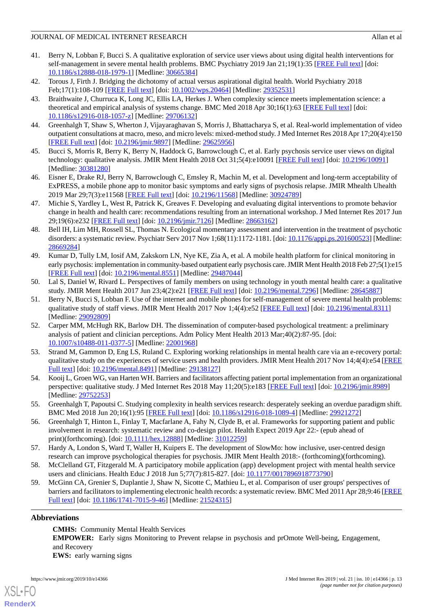- <span id="page-12-0"></span>41. Berry N, Lobban F, Bucci S. A qualitative exploration of service user views about using digital health interventions for self-management in severe mental health problems. BMC Psychiatry 2019 Jan 21;19(1):35 [[FREE Full text\]](https://bmcpsychiatry.biomedcentral.com/articles/10.1186/s12888-018-1979-1) [doi: [10.1186/s12888-018-1979-1\]](http://dx.doi.org/10.1186/s12888-018-1979-1) [Medline: [30665384](http://www.ncbi.nlm.nih.gov/entrez/query.fcgi?cmd=Retrieve&db=PubMed&list_uids=30665384&dopt=Abstract)]
- <span id="page-12-2"></span><span id="page-12-1"></span>42. Torous J, Firth J. Bridging the dichotomy of actual versus aspirational digital health. World Psychiatry 2018 Feb;17(1):108-109 [[FREE Full text](https://doi.org/10.1002/wps.20464)] [doi: [10.1002/wps.20464](http://dx.doi.org/10.1002/wps.20464)] [Medline: [29352531](http://www.ncbi.nlm.nih.gov/entrez/query.fcgi?cmd=Retrieve&db=PubMed&list_uids=29352531&dopt=Abstract)]
- 43. Braithwaite J, Churruca K, Long JC, Ellis LA, Herkes J. When complexity science meets implementation science: a theoretical and empirical analysis of systems change. BMC Med 2018 Apr 30;16(1):63 [\[FREE Full text](https://bmcmedicine.biomedcentral.com/articles/10.1186/s12916-018-1057-z)] [doi: [10.1186/s12916-018-1057-z](http://dx.doi.org/10.1186/s12916-018-1057-z)] [Medline: [29706132\]](http://www.ncbi.nlm.nih.gov/entrez/query.fcgi?cmd=Retrieve&db=PubMed&list_uids=29706132&dopt=Abstract)
- <span id="page-12-4"></span><span id="page-12-3"></span>44. Greenhalgh T, Shaw S, Wherton J, Vijayaraghavan S, Morris J, Bhattacharya S, et al. Real-world implementation of video outpatient consultations at macro, meso, and micro levels: mixed-method study. J Med Internet Res 2018 Apr 17;20(4):e150 [[FREE Full text](https://www.jmir.org/2018/4/e150/)] [doi: [10.2196/jmir.9897](http://dx.doi.org/10.2196/jmir.9897)] [Medline: [29625956](http://www.ncbi.nlm.nih.gov/entrez/query.fcgi?cmd=Retrieve&db=PubMed&list_uids=29625956&dopt=Abstract)]
- <span id="page-12-5"></span>45. Bucci S, Morris R, Berry K, Berry N, Haddock G, Barrowclough C, et al. Early psychosis service user views on digital technology: qualitative analysis. JMIR Ment Health 2018 Oct 31;5(4):e10091 [[FREE Full text](https://mental.jmir.org/2018/4/e10091/)] [doi: [10.2196/10091\]](http://dx.doi.org/10.2196/10091) [Medline: [30381280](http://www.ncbi.nlm.nih.gov/entrez/query.fcgi?cmd=Retrieve&db=PubMed&list_uids=30381280&dopt=Abstract)]
- <span id="page-12-6"></span>46. Eisner E, Drake RJ, Berry N, Barrowclough C, Emsley R, Machin M, et al. Development and long-term acceptability of ExPRESS, a mobile phone app to monitor basic symptoms and early signs of psychosis relapse. JMIR Mhealth Uhealth 2019 Mar 29;7(3):e11568 [[FREE Full text](https://mhealth.jmir.org/2019/3/e11568/)] [doi: [10.2196/11568\]](http://dx.doi.org/10.2196/11568) [Medline: [30924789](http://www.ncbi.nlm.nih.gov/entrez/query.fcgi?cmd=Retrieve&db=PubMed&list_uids=30924789&dopt=Abstract)]
- <span id="page-12-7"></span>47. Michie S, Yardley L, West R, Patrick K, Greaves F. Developing and evaluating digital interventions to promote behavior change in health and health care: recommendations resulting from an international workshop. J Med Internet Res 2017 Jun 29;19(6):e232 [\[FREE Full text](https://www.jmir.org/2017/6/e232/)] [doi: [10.2196/jmir.7126](http://dx.doi.org/10.2196/jmir.7126)] [Medline: [28663162](http://www.ncbi.nlm.nih.gov/entrez/query.fcgi?cmd=Retrieve&db=PubMed&list_uids=28663162&dopt=Abstract)]
- <span id="page-12-8"></span>48. Bell IH, Lim MH, Rossell SL, Thomas N. Ecological momentary assessment and intervention in the treatment of psychotic disorders: a systematic review. Psychiatr Serv 2017 Nov 1;68(11):1172-1181. [doi: [10.1176/appi.ps.201600523\]](http://dx.doi.org/10.1176/appi.ps.201600523) [Medline: [28669284](http://www.ncbi.nlm.nih.gov/entrez/query.fcgi?cmd=Retrieve&db=PubMed&list_uids=28669284&dopt=Abstract)]
- <span id="page-12-9"></span>49. Kumar D, Tully LM, Iosif AM, Zakskorn LN, Nye KE, Zia A, et al. A mobile health platform for clinical monitoring in early psychosis: implementation in community-based outpatient early psychosis care. JMIR Ment Health 2018 Feb 27;5(1):e15 [[FREE Full text](https://mental.jmir.org/2018/1/e15/)] [doi: [10.2196/mental.8551](http://dx.doi.org/10.2196/mental.8551)] [Medline: [29487044](http://www.ncbi.nlm.nih.gov/entrez/query.fcgi?cmd=Retrieve&db=PubMed&list_uids=29487044&dopt=Abstract)]
- <span id="page-12-10"></span>50. Lal S, Daniel W, Rivard L. Perspectives of family members on using technology in youth mental health care: a qualitative study. JMIR Ment Health 2017 Jun 23;4(2):e21 [[FREE Full text](https://mental.jmir.org/2017/2/e21/)] [doi: [10.2196/mental.7296\]](http://dx.doi.org/10.2196/mental.7296) [Medline: [28645887](http://www.ncbi.nlm.nih.gov/entrez/query.fcgi?cmd=Retrieve&db=PubMed&list_uids=28645887&dopt=Abstract)]
- <span id="page-12-11"></span>51. Berry N, Bucci S, Lobban F. Use of the internet and mobile phones for self-management of severe mental health problems: qualitative study of staff views. JMIR Ment Health 2017 Nov 1;4(4):e52 [[FREE Full text\]](https://mental.jmir.org/2017/4/e52/) [doi: [10.2196/mental.8311](http://dx.doi.org/10.2196/mental.8311)] [Medline: [29092809](http://www.ncbi.nlm.nih.gov/entrez/query.fcgi?cmd=Retrieve&db=PubMed&list_uids=29092809&dopt=Abstract)]
- <span id="page-12-12"></span>52. Carper MM, McHugh RK, Barlow DH. The dissemination of computer-based psychological treatment: a preliminary analysis of patient and clinician perceptions. Adm Policy Ment Health 2013 Mar;40(2):87-95. [doi: [10.1007/s10488-011-0377-5\]](http://dx.doi.org/10.1007/s10488-011-0377-5) [Medline: [22001968](http://www.ncbi.nlm.nih.gov/entrez/query.fcgi?cmd=Retrieve&db=PubMed&list_uids=22001968&dopt=Abstract)]
- <span id="page-12-14"></span><span id="page-12-13"></span>53. Strand M, Gammon D, Eng LS, Ruland C. Exploring working relationships in mental health care via an e-recovery portal: qualitative study on the experiences of service users and health providers. JMIR Ment Health 2017 Nov 14;4(4):e54 [\[FREE](https://mental.jmir.org/2017/4/e54/) [Full text\]](https://mental.jmir.org/2017/4/e54/) [doi: [10.2196/mental.8491](http://dx.doi.org/10.2196/mental.8491)] [Medline: [29138127\]](http://www.ncbi.nlm.nih.gov/entrez/query.fcgi?cmd=Retrieve&db=PubMed&list_uids=29138127&dopt=Abstract)
- <span id="page-12-15"></span>54. Kooij L, Groen WG, van Harten WH. Barriers and facilitators affecting patient portal implementation from an organizational perspective: qualitative study. J Med Internet Res 2018 May 11;20(5):e183 [\[FREE Full text\]](https://www.jmir.org/2018/5/e183/) [doi: [10.2196/jmir.8989\]](http://dx.doi.org/10.2196/jmir.8989) [Medline: [29752253](http://www.ncbi.nlm.nih.gov/entrez/query.fcgi?cmd=Retrieve&db=PubMed&list_uids=29752253&dopt=Abstract)]
- <span id="page-12-16"></span>55. Greenhalgh T, Papoutsi C. Studying complexity in health services research: desperately seeking an overdue paradigm shift. BMC Med 2018 Jun 20;16(1):95 [\[FREE Full text](https://bmcmedicine.biomedcentral.com/articles/10.1186/s12916-018-1089-4)] [doi: [10.1186/s12916-018-1089-4\]](http://dx.doi.org/10.1186/s12916-018-1089-4) [Medline: [29921272\]](http://www.ncbi.nlm.nih.gov/entrez/query.fcgi?cmd=Retrieve&db=PubMed&list_uids=29921272&dopt=Abstract)
- <span id="page-12-17"></span>56. Greenhalgh T, Hinton L, Finlay T, Macfarlane A, Fahy N, Clyde B, et al. Frameworks for supporting patient and public involvement in research: systematic review and co-design pilot. Health Expect 2019 Apr 22:- (epub ahead of print)(forthcoming). [doi: [10.1111/hex.12888](http://dx.doi.org/10.1111/hex.12888)] [Medline: [31012259](http://www.ncbi.nlm.nih.gov/entrez/query.fcgi?cmd=Retrieve&db=PubMed&list_uids=31012259&dopt=Abstract)]
- <span id="page-12-18"></span>57. Hardy A, London S, Ward T, Waller H, Kuipers E. The development of SlowMo: how inclusive, user-centred design research can improve psychological therapies for psychosis. JMIR Ment Health 2018:- (forthcoming)(forthcoming).
- 58. McClelland GT, Fitzgerald M. A participatory mobile application (app) development project with mental health service users and clinicians. Health Educ J 2018 Jun 5;77(7):815-827. [doi: [10.1177/0017896918773790](http://dx.doi.org/10.1177/0017896918773790)]
- 59. McGinn CA, Grenier S, Duplantie J, Shaw N, Sicotte C, Mathieu L, et al. Comparison of user groups' perspectives of barriers and facilitators to implementing electronic health records: a systematic review. BMC Med 2011 Apr 28;9:46 [\[FREE](https://bmcmedicine.biomedcentral.com/articles/10.1186/1741-7015-9-46) [Full text\]](https://bmcmedicine.biomedcentral.com/articles/10.1186/1741-7015-9-46) [doi: [10.1186/1741-7015-9-46\]](http://dx.doi.org/10.1186/1741-7015-9-46) [Medline: [21524315](http://www.ncbi.nlm.nih.gov/entrez/query.fcgi?cmd=Retrieve&db=PubMed&list_uids=21524315&dopt=Abstract)]

## **Abbreviations**

[XSL](http://www.w3.org/Style/XSL)•FO **[RenderX](http://www.renderx.com/)**

**CMHS:** Community Mental Health Services **EMPOWER:** Early signs Monitoring to Prevent relapse in psychosis and prOmote Well-being, Engagement, and Recovery **EWS:** early warning signs